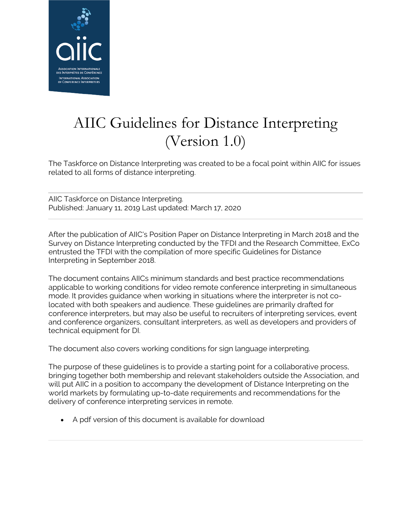

# AIIC Guidelines for Distance Interpreting (Version 1.0)

The Taskforce on Distance Interpreting was created to be a focal point within AIIC for issues related to all forms of distance interpreting.

AIIC Taskforce on Distance Interpreting. Published: January 11, 2019 Last updated: March 17, 2020

After the publication of AIIC's Position Paper on Distance Interpreting in March 2018 and the Survey on Distance Interpreting conducted by the TFDI and the Research Committee, ExCo entrusted the TFDI with the compilation of more specific Guidelines for Distance Interpreting in September 2018.

The document contains AIICs minimum standards and best practice recommendations applicable to working conditions for video remote conference interpreting in simultaneous mode. It provides guidance when working in situations where the interpreter is not colocated with both speakers and audience. These guidelines are primarily drafted for conference interpreters, but may also be useful to recruiters of interpreting services, event and conference organizers, consultant interpreters, as well as developers and providers of technical equipment for DI.

The document also covers working conditions for sign language interpreting.

The purpose of these guidelines is to provide a starting point for a collaborative process, bringing together both membership and relevant stakeholders outside the Association, and will put AIIC in a position to accompany the development of Distance Interpreting on the world markets by formulating up-to-date requirements and recommendations for the delivery of conference interpreting services in remote.

• A pdf version of this document is available for download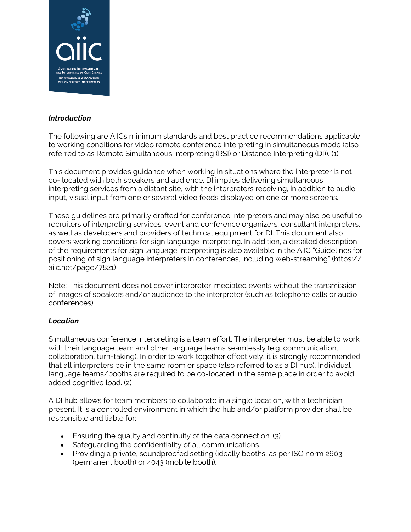

# *Introduction*

The following are AIICs minimum standards and best practice recommendations applicable to working conditions for video remote conference interpreting in simultaneous mode (also referred to as Remote Simultaneous Interpreting (RSI) or Distance Interpreting (DI)). (1)

This document provides guidance when working in situations where the interpreter is not co- located with both speakers and audience. DI implies delivering simultaneous interpreting services from a distant site, with the interpreters receiving, in addition to audio input, visual input from one or several video feeds displayed on one or more screens.

These guidelines are primarily drafted for conference interpreters and may also be useful to recruiters of interpreting services, event and conference organizers, consultant interpreters, as well as developers and providers of technical equipment for DI. This document also covers working conditions for sign language interpreting. In addition, a detailed description of the requirements for sign language interpreting is also available in the AIIC "Guidelines for positioning of sign language interpreters in conferences, including web-streaming" (https:// aiic.net/page/7821)

Note: This document does not cover interpreter-mediated events without the transmission of images of speakers and/or audience to the interpreter (such as telephone calls or audio conferences).

# *Location*

Simultaneous conference interpreting is a team effort. The interpreter must be able to work with their language team and other language teams seamlessly (e.g. communication, collaboration, turn-taking). In order to work together effectively, it is strongly recommended that all interpreters be in the same room or space (also referred to as a DI hub). Individual language teams/booths are required to be co-located in the same place in order to avoid added cognitive load. (2)

A DI hub allows for team members to collaborate in a single location, with a technician present. It is a controlled environment in which the hub and/or platform provider shall be responsible and liable for:

- Ensuring the quality and continuity of the data connection. (3)
- Safeguarding the confidentiality of all communications.
- Providing a private, soundproofed setting (ideally booths, as per ISO norm 2603 (permanent booth) or 4043 (mobile booth).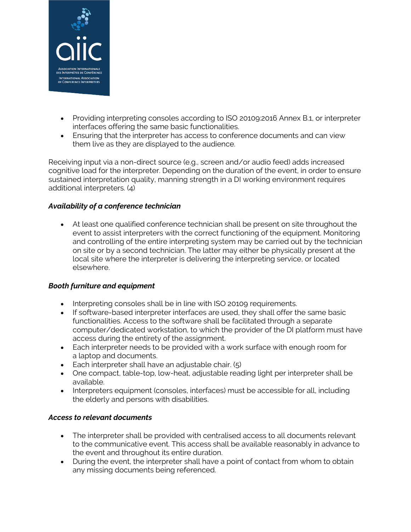

- Providing interpreting consoles according to ISO 20109:2016 Annex B.1, or interpreter interfaces offering the same basic functionalities.
- Ensuring that the interpreter has access to conference documents and can view them live as they are displayed to the audience.

Receiving input via a non-direct source (e.g., screen and/or audio feed) adds increased cognitive load for the interpreter. Depending on the duration of the event, in order to ensure sustained interpretation quality, manning strength in a DI working environment requires additional interpreters. (4)

#### *Availability of a conference technician*

• At least one qualified conference technician shall be present on site throughout the event to assist interpreters with the correct functioning of the equipment. Monitoring and controlling of the entire interpreting system may be carried out by the technician on site or by a second technician. The latter may either be physically present at the local site where the interpreter is delivering the interpreting service, or located elsewhere.

#### *Booth furniture and equipment*

- Interpreting consoles shall be in line with ISO 20109 requirements.
- If software-based interpreter interfaces are used, they shall offer the same basic functionalities. Access to the software shall be facilitated through a separate computer/dedicated workstation, to which the provider of the DI platform must have access during the entirety of the assignment.
- Each interpreter needs to be provided with a work surface with enough room for a laptop and documents.
- Each interpreter shall have an adjustable chair. (5)
- One compact, table-top, low-heat, adjustable reading light per interpreter shall be available.
- Interpreters equipment (consoles, interfaces) must be accessible for all, including the elderly and persons with disabilities.

#### *Access to relevant documents*

- The interpreter shall be provided with centralised access to all documents relevant to the communicative event. This access shall be available reasonably in advance to the event and throughout its entire duration.
- During the event, the interpreter shall have a point of contact from whom to obtain any missing documents being referenced.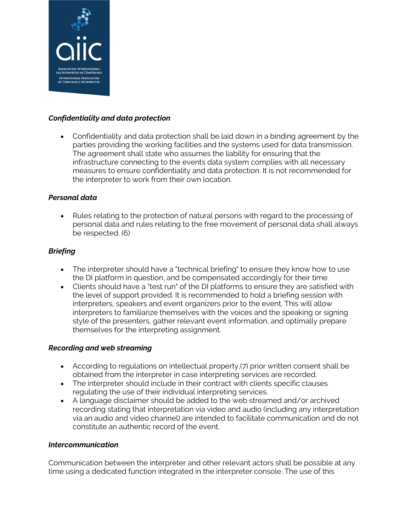

## *Confidentiality and data protection*

• Confidentiality and data protection shall be laid down in a binding agreement by the parties providing the working facilities and the systems used for data transmission. The agreement shall state who assumes the liability for ensuring that the infrastructure connecting to the events data system complies with all necessary measures to ensure confidentiality and data protection. It is not recommended for the interpreter to work from their own location.

#### *Personal data*

• Rules relating to the protection of natural persons with regard to the processing of personal data and rules relating to the free movement of personal data shall always be respected. (6)

### *Briefing*

- The interpreter should have a "technical briefing" to ensure they know how to use the DI platform in question, and be compensated accordingly for their time.
- Clients should have a "test run" of the DI platforms to ensure they are satisfied with the level of support provided. It is recommended to hold a briefing session with interpreters, speakers and event organizers prior to the event. This will allow interpreters to familiarize themselves with the voices and the speaking or signing style of the presenters, gather relevant event information, and optimally prepare themselves for the interpreting assignment.

#### *Recording and web streaming*

- According to regulations on intellectual property,(7) prior written consent shall be obtained from the interpreter in case interpreting services are recorded.
- The interpreter should include in their contract with clients specific clauses regulating the use of their individual interpreting services.
- A language disclaimer should be added to the web streamed and/or archived recording stating that interpretation via video and audio (including any interpretation via an audio and video channel) are intended to facilitate communication and do not constitute an authentic record of the event.

#### *Intercommunication*

Communication between the interpreter and other relevant actors shall be possible at any time using a dedicated function integrated in the interpreter console. The use of this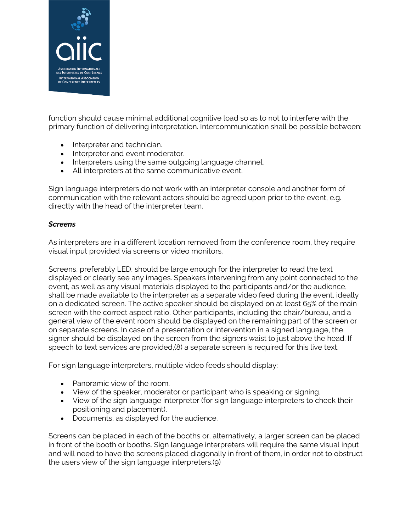

function should cause minimal additional cognitive load so as to not to interfere with the primary function of delivering interpretation. Intercommunication shall be possible between:

- Interpreter and technician.
- Interpreter and event moderator.
- Interpreters using the same outgoing language channel.
- All interpreters at the same communicative event.

Sign language interpreters do not work with an interpreter console and another form of communication with the relevant actors should be agreed upon prior to the event, e.g. directly with the head of the interpreter team.

#### *Screens*

As interpreters are in a different location removed from the conference room, they require visual input provided via screens or video monitors.

Screens, preferably LED, should be large enough for the interpreter to read the text displayed or clearly see any images. Speakers intervening from any point connected to the event, as well as any visual materials displayed to the participants and/or the audience, shall be made available to the interpreter as a separate video feed during the event, ideally on a dedicated screen. The active speaker should be displayed on at least 65% of the main screen with the correct aspect ratio. Other participants, including the chair/bureau, and a general view of the event room should be displayed on the remaining part of the screen or on separate screens. In case of a presentation or intervention in a signed language, the signer should be displayed on the screen from the signers waist to just above the head. If speech to text services are provided,(8) a separate screen is required for this live text.

For sign language interpreters, multiple video feeds should display:

- Panoramic view of the room.
- View of the speaker, moderator or participant who is speaking or signing.
- View of the sign language interpreter (for sign language interpreters to check their positioning and placement).
- Documents, as displayed for the audience.

Screens can be placed in each of the booths or, alternatively, a larger screen can be placed in front of the booth or booths. Sign language interpreters will require the same visual input and will need to have the screens placed diagonally in front of them, in order not to obstruct the users view of the sign language interpreters.(9)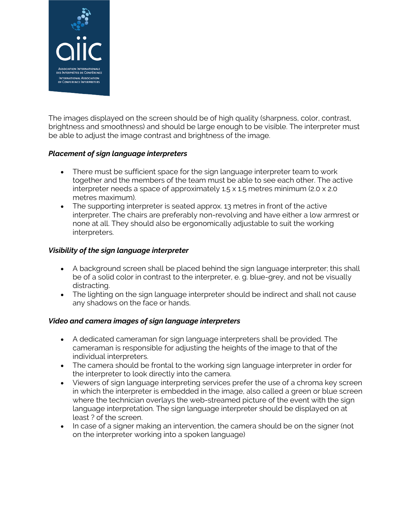

The images displayed on the screen should be of high quality (sharpness, color, contrast, brightness and smoothness) and should be large enough to be visible. The interpreter must be able to adjust the image contrast and brightness of the image.

# *Placement of sign language interpreters*

- There must be sufficient space for the sign language interpreter team to work together and the members of the team must be able to see each other. The active interpreter needs a space of approximately 1.5 x 1.5 metres minimum (2.0 x 2.0 metres maximum).
- The supporting interpreter is seated approx. 13 metres in front of the active interpreter. The chairs are preferably non-revolving and have either a low armrest or none at all. They should also be ergonomically adjustable to suit the working interpreters.

# *Visibility of the sign language interpreter*

- A background screen shall be placed behind the sign language interpreter; this shall be of a solid color in contrast to the interpreter, e. g. blue-grey, and not be visually distracting.
- The lighting on the sign language interpreter should be indirect and shall not cause any shadows on the face or hands.

# *Video and camera images of sign language interpreters*

- A dedicated cameraman for sign language interpreters shall be provided. The cameraman is responsible for adjusting the heights of the image to that of the individual interpreters.
- The camera should be frontal to the working sign language interpreter in order for the interpreter to look directly into the camera.
- Viewers of sign language interpreting services prefer the use of a chroma key screen in which the interpreter is embedded in the image, also called a green or blue screen where the technician overlays the web-streamed picture of the event with the sign language interpretation. The sign language interpreter should be displayed on at least ? of the screen.
- In case of a signer making an intervention, the camera should be on the signer (not on the interpreter working into a spoken language)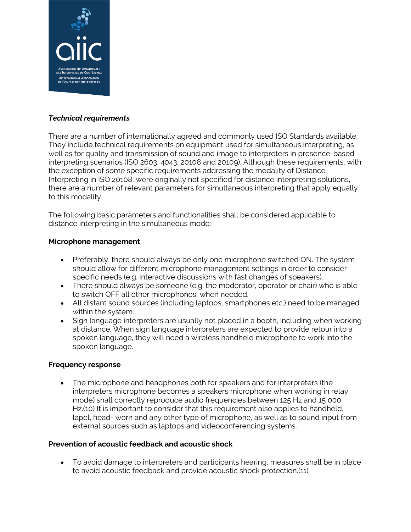

# *Technical requirements*

There are a number of internationally agreed and commonly used ISO Standards available. They include technical requirements on equipment used for simultaneous interpreting, as well as for quality and transmission of sound and image to interpreters in presence-based interpreting scenarios (ISO 2603, 4043, 20108 and 20109). Although these requirements, with the exception of some specific requirements addressing the modality of Distance Interpreting in ISO 20108, were originally not specified for distance interpreting solutions, there are a number of relevant parameters for simultaneous interpreting that apply equally to this modality.

The following basic parameters and functionalities shall be considered applicable to distance interpreting in the simultaneous mode:

#### **Microphone management**

- Preferably, there should always be only one microphone switched ON. The system should allow for different microphone management settings in order to consider specific needs (e.g. interactive discussions with fast changes of speakers).
- There should always be someone (e.g. the moderator, operator or chair) who is able to switch OFF all other microphones, when needed.
- All distant sound sources (including laptops, smartphones etc.) need to be managed within the system.
- Sign language interpreters are usually not placed in a booth, including when working at distance. When sign language interpreters are expected to provide retour into a spoken language, they will need a wireless handheld microphone to work into the spoken language.

#### **Frequency response**

• The microphone and headphones both for speakers and for interpreters (the interpreters microphone becomes a speakers microphone when working in relay mode) shall correctly reproduce audio frequencies between 125 Hz and 15 000 Hz.(10) It is important to consider that this requirement also applies to handheld, lapel, head- worn and any other type of microphone, as well as to sound input from external sources such as laptops and videoconferencing systems.

#### **Prevention of acoustic feedback and acoustic shock**

• To avoid damage to interpreters and participants hearing, measures shall be in place to avoid acoustic feedback and provide acoustic shock protection.(11)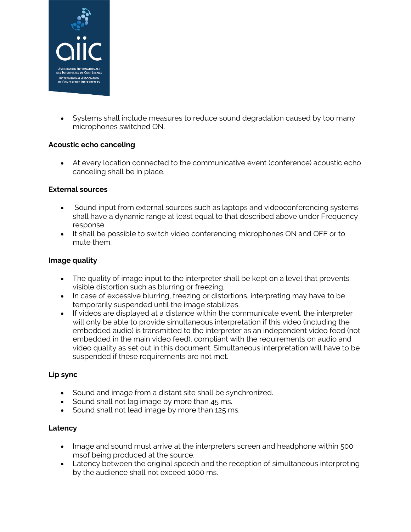

• Systems shall include measures to reduce sound degradation caused by too many microphones switched ON.

### **Acoustic echo canceling**

• At every location connected to the communicative event (conference) acoustic echo canceling shall be in place.

### **External sources**

- Sound input from external sources such as laptops and videoconferencing systems shall have a dynamic range at least equal to that described above under Frequency response.
- It shall be possible to switch video conferencing microphones ON and OFF or to mute them.

### **Image quality**

- The quality of image input to the interpreter shall be kept on a level that prevents visible distortion such as blurring or freezing.
- In case of excessive blurring, freezing or distortions, interpreting may have to be temporarily suspended until the image stabilizes.
- If videos are displayed at a distance within the communicate event, the interpreter will only be able to provide simultaneous interpretation if this video (including the embedded audio) is transmitted to the interpreter as an independent video feed (not embedded in the main video feed), compliant with the requirements on audio and video quality as set out in this document. Simultaneous interpretation will have to be suspended if these requirements are not met.

# **Lip sync**

- Sound and image from a distant site shall be synchronized.
- Sound shall not lag image by more than 45 ms.
- Sound shall not lead image by more than 125 ms.

# **Latency**

- Image and sound must arrive at the interpreters screen and headphone within 500 msof being produced at the source.
- Latency between the original speech and the reception of simultaneous interpreting by the audience shall not exceed 1000 ms.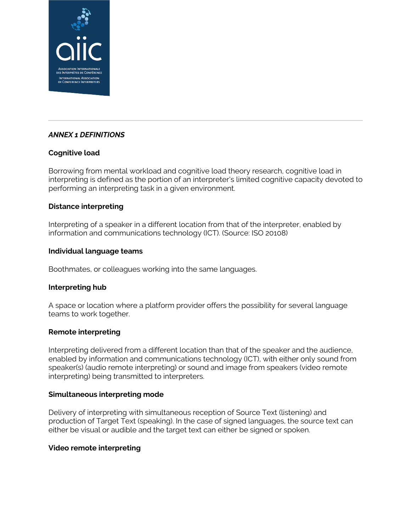

# *ANNEX 1 DEFINITIONS*

# **Cognitive load**

Borrowing from mental workload and cognitive load theory research, cognitive load in interpreting is defined as the portion of an interpreter's limited cognitive capacity devoted to performing an interpreting task in a given environment.

### **Distance interpreting**

Interpreting of a speaker in a different location from that of the interpreter, enabled by information and communications technology (ICT). (Source: ISO 20108)

### **Individual language teams**

Boothmates, or colleagues working into the same languages.

#### **Interpreting hub**

A space or location where a platform provider offers the possibility for several language teams to work together.

# **Remote interpreting**

Interpreting delivered from a different location than that of the speaker and the audience, enabled by information and communications technology (ICT), with either only sound from speaker(s) (audio remote interpreting) or sound and image from speakers (video remote interpreting) being transmitted to interpreters.

#### **Simultaneous interpreting mode**

Delivery of interpreting with simultaneous reception of Source Text (listening) and production of Target Text (speaking). In the case of signed languages, the source text can either be visual or audible and the target text can either be signed or spoken.

#### **Video remote interpreting**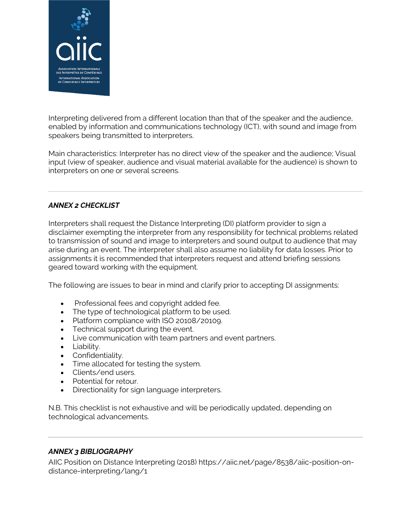

Interpreting delivered from a different location than that of the speaker and the audience, enabled by information and communications technology (ICT), with sound and image from speakers being transmitted to interpreters.

Main characteristics: Interpreter has no direct view of the speaker and the audience; Visual input (view of speaker, audience and visual material available for the audience) is shown to interpreters on one or several screens.

# *ANNEX 2 CHECKLIST*

Interpreters shall request the Distance Interpreting (DI) platform provider to sign a disclaimer exempting the interpreter from any responsibility for technical problems related to transmission of sound and image to interpreters and sound output to audience that may arise during an event. The interpreter shall also assume no liability for data losses. Prior to assignments it is recommended that interpreters request and attend briefing sessions geared toward working with the equipment.

The following are issues to bear in mind and clarify prior to accepting DI assignments:

- Professional fees and copyright added fee.
- The type of technological platform to be used.
- Platform compliance with ISO 20108/20109.
- Technical support during the event.
- Live communication with team partners and event partners.
- Liability.
- Confidentiality.
- Time allocated for testing the system.
- Clients/end users.
- Potential for retour.
- Directionality for sign language interpreters.

N.B. This checklist is not exhaustive and will be periodically updated, depending on technological advancements.

# *ANNEX 3 BIBLIOGRAPHY*

AIIC Position on Distance Interpreting (2018) https://aiic.net/page/8538/aiic-position-ondistance-interpreting/lang/1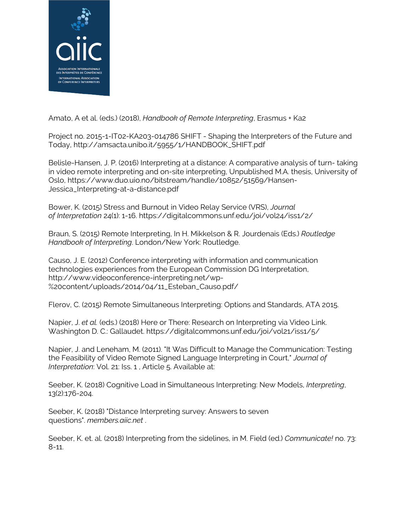

Amato, A et al. (eds.) (2018), *Handbook of Remote Interpreting*, Erasmus + Ka2

Project no. 2015-1-IT02-KA203-014786 SHIFT - Shaping the Interpreters of the Future and Today, http://amsacta.unibo.it/5955/1/HANDBOOK\_SHIFT.pdf

Belisle-Hansen, J. P. (2016) Interpreting at a distance: A comparative analysis of turn- taking in video remote interpreting and on-site interpreting, Unpublished M.A. thesis, University of Oslo, https://www.duo.uio.no/bitstream/handle/10852/51569/Hansen-Jessica\_Interpreting-at-a-distance.pdf

Bower, K. (2015) Stress and Burnout in Video Relay Service (VRS), *Journal of Interpretation* 24(1): 1-16. https://digitalcommons.unf.edu/joi/vol24/iss1/2/

Braun, S. (2015) Remote Interpreting, In H. Mikkelson & R. Jourdenais (Eds.) *Routledge Handbook of Interpreting*. London/New York: Routledge.

Causo, J. E. (2012) Conference interpreting with information and communication technologies experiences from the European Commission DG Interpretation, http://www.videoconference-interpreting.net/wp- %20content/uploads/2014/04/11\_Esteban\_Causo.pdf/

Flerov, C. (2015) Remote Simultaneous Interpreting: Options and Standards, ATA 2015.

Napier, J. *et al.* (eds.) (2018) Here or There: Research on Interpreting via Video Link. Washington D. C.: Gallaudet. https://digitalcommons.unf.edu/joi/vol21/iss1/5/

Napier, J. and Leneham, M. (2011). "It Was Difficult to Manage the Communication: Testing the Feasibility of Video Remote Signed Language Interpreting in Court," *Journal of Interpretation*: Vol. 21: Iss. 1 , Article 5. Available at:

Seeber, K. (2018) Cognitive Load in Simultaneous Interpreting: New Models, *Interpreting*, 13(2):176-204.

Seeber, K. (2018) "Distance Interpreting survey: Answers to seven questions". *members.aiic.net* .

Seeber, K. et. al. (2018) Interpreting from the sidelines, in M. Field (ed.) *Communicate!* no. 73: 8-11.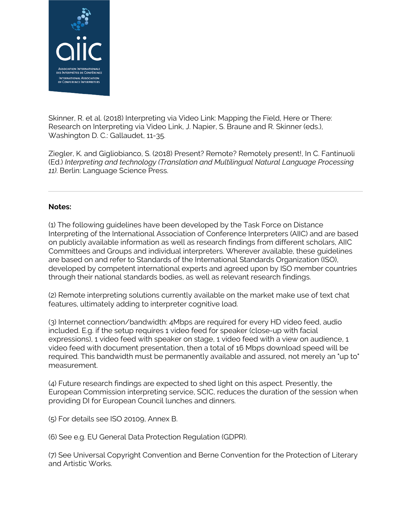

Skinner, R. et al. (2018) Interpreting via Video Link: Mapping the Field, Here or There: Research on Interpreting via Video Link, J. Napier, S. Braune and R. Skinner (eds.), Washington D. C.: Gallaudet, 11-35.

Ziegler, K. and Gigliobianco, S. (2018) Present? Remote? Remotely present!, In C. Fantinuoli (Ed.) *Interpreting and technology (Translation and Multilingual Natural Language Processing 11)*. Berlin: Language Science Press.

#### **Notes:**

(1) The following guidelines have been developed by the Task Force on Distance Interpreting of the International Association of Conference Interpreters (AIIC) and are based on publicly available information as well as research findings from different scholars, AIIC Committees and Groups and individual interpreters. Wherever available, these guidelines are based on and refer to Standards of the International Standards Organization (ISO), developed by competent international experts and agreed upon by ISO member countries through their national standards bodies, as well as relevant research findings.

(2) Remote interpreting solutions currently available on the market make use of text chat features, ultimately adding to interpreter cognitive load.

(3) Internet connection/bandwidth: 4Mbps are required for every HD video feed, audio included. E.g. if the setup requires 1 video feed for speaker (close-up with facial expressions), 1 video feed with speaker on stage, 1 video feed with a view on audience, 1 video feed with document presentation, then a total of 16 Mbps download speed will be required. This bandwidth must be permanently available and assured, not merely an "up to" measurement.

(4) Future research findings are expected to shed light on this aspect. Presently, the European Commission interpreting service, SCIC, reduces the duration of the session when providing DI for European Council lunches and dinners.

(5) For details see ISO 20109, Annex B.

(6) See e.g. EU General Data Protection Regulation (GDPR).

(7) See Universal Copyright Convention and Berne Convention for the Protection of Literary and Artistic Works.